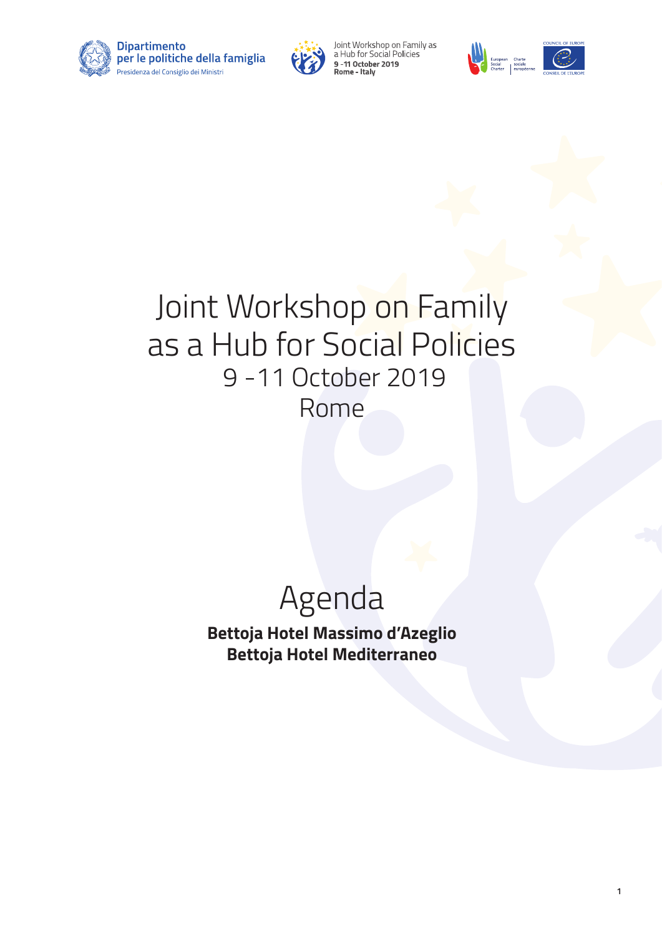



Joint Workshop on Family as<br>a Hub for Social Policies 9 - 11 October 2019<br>Rome - Italy



**1**

# Joint Workshop on Family as a Hub for Social Policies 9 -11 October 2019 Rome

# Agenda

**Bettoja Hotel Massimo d'Azeglio Bettoja Hotel Mediterraneo**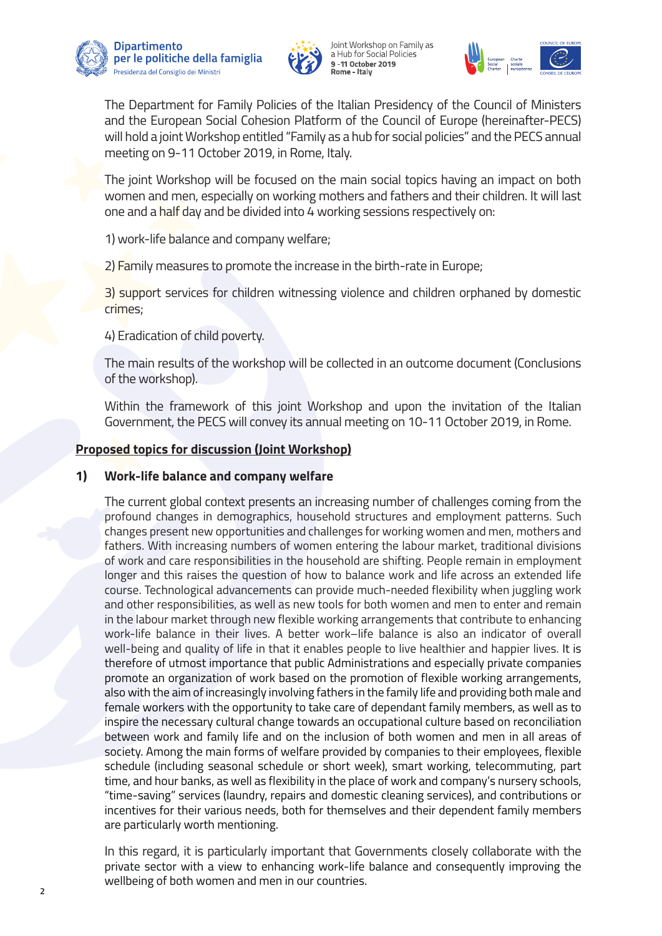







 The Department for Family Policies of the Italian Presidency of the Council of Ministers and the European Social Cohesion Platform of the Council of Europe (hereinafter-PECS) will hold a joint Workshop entitled "Family as a hub for social policies" and the PECS annual meeting on 9-11 October 2019, in Rome, Italy.

 The joint Workshop will be focused on the main social topics having an impact on both women and men, especially on working mothers and fathers and their children. It will last one and a half day and be divided into 4 working sessions respectively on:

1) work-life balance and company welfare;

2) Family measures to promote the increase in the birth-rate in Europe;

 3) support services for children witnessing violence and children orphaned by domestic crimes;

4) Eradication of child poverty.

 The main results of the workshop will be collected in an outcome document (Conclusions of the workshop).

 Within the framework of this joint Workshop and upon the invitation of the Italian Government, the PECS will convey its annual meeting on 10-11 October 2019, in Rome.

#### **Proposed topics for discussion (Joint Workshop)**

#### **1) Work-life balance and company welfare**

 The current global context presents an increasing number of challenges coming from the profound changes in demographics, household structures and employment patterns. Such changes present new opportunities and challenges for working women and men, mothers and fathers. With increasing numbers of women entering the labour market, traditional divisions of work and care responsibilities in the household are shifting. People remain in employment longer and this raises the question of how to balance work and life across an extended life course. Technological advancements can provide much-needed flexibility when juggling work and other responsibilities, as well as new tools for both women and men to enter and remain in the labour market through new flexible working arrangements that contribute to enhancing work-life balance in their lives. A better work–life balance is also an indicator of overall well-being and quality of life in that it enables people to live healthier and happier lives. It is therefore of utmost importance that public Administrations and especially private companies promote an organization of work based on the promotion of flexible working arrangements, also with the aim of increasingly involving fathers in the family life and providing both male and female workers with the opportunity to take care of dependant family members, as well as to inspire the necessary cultural change towards an occupational culture based on reconciliation between work and family life and on the inclusion of both women and men in all areas of society. Among the main forms of welfare provided by companies to their employees, flexible schedule (including seasonal schedule or short week), smart working, telecommuting, part time, and hour banks, as well as flexibility in the place of work and company's nursery schools, "time-saving" services (laundry, repairs and domestic cleaning services), and contributions or incentives for their various needs, both for themselves and their dependent family members are particularly worth mentioning.

 In this regard, it is particularly important that Governments closely collaborate with the private sector with a view to enhancing work-life balance and consequently improving the wellbeing of both women and men in our countries.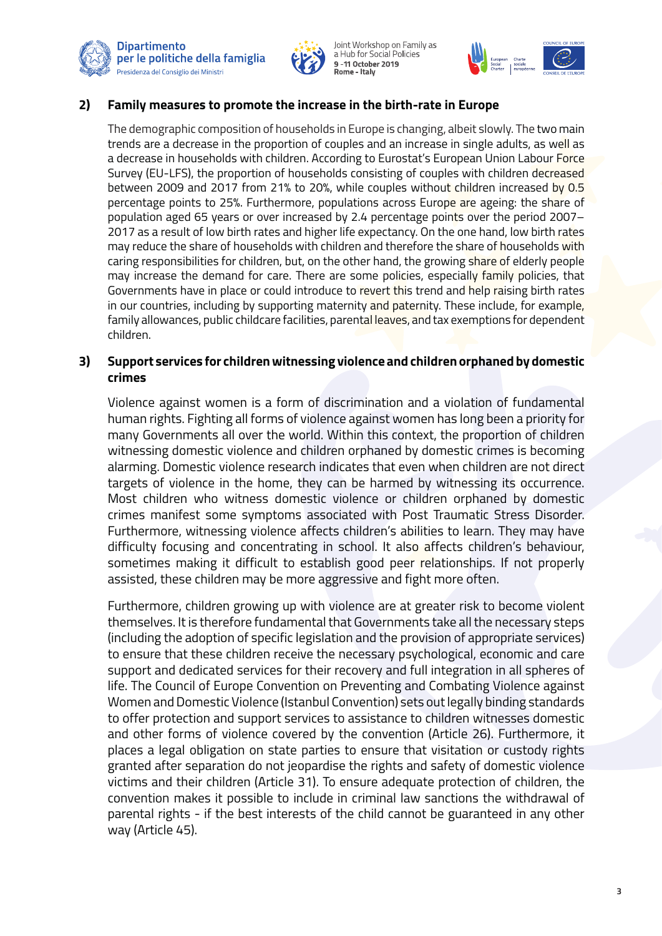



Joint Workshop on Family as<br>a Hub for Social Policies 9-11 October 2019 s<br>Rome - Italv



#### **2) Family measures to promote the increase in the birth-rate in Europe**

 The demographic composition of households in Europe is changing, albeit slowly. The two main trends are a decrease in the proportion of couples and an increase in single adults, as well as a decrease in households with children. According to Eurostat's European Union Labour Force Survey (EU-LFS), the proportion of households consisting of couples with children decreased between 2009 and 2017 from 21% to 20%, while couples without children increased by 0.5 percentage points to 25%. Furthermore, populations across Europe are ageing: the share of population aged 65 years or over increased by 2.4 percentage points over the period 2007– 2017 as a result of low birth rates and higher life expectancy. On the one hand, low birth rates may reduce the share of households with children and therefore the share of households with caring responsibilities for children, but, on the other hand, the growing share of elderly people may increase the demand for care. There are some policies, especially family policies, that Governments have in place or could introduce to revert this trend and help raising birth rates in our countries, including by supporting maternity and paternity. These include, for example, family allowances, public childcare facilities, parental leaves, and tax exemptions for dependent children.

#### **3) Support services for children witnessing violence and children orphaned by domestic crimes**

 Violence against women is a form of discrimination and a violation of fundamental human rights. Fighting all forms of violence against women has long been a priority for many Governments all over the world. Within this context, the proportion of children witnessing domestic violence and children orphaned by domestic crimes is becoming alarming. Domestic violence research indicates that even when children are not direct targets of violence in the home, they can be harmed by witnessing its occurrence. Most children who witness domestic violence or children orphaned by domestic crimes manifest some symptoms associated with Post Traumatic Stress Disorder. Furthermore, witnessing violence affects children's abilities to learn. They may have difficulty focusing and concentrating in school. It also affects children's behaviour, sometimes making it difficult to establish good peer relationships. If not properly assisted, these children may be more aggressive and fight more often.

 Furthermore, children growing up with violence are at greater risk to become violent themselves. It is therefore fundamental that Governments take all the necessary steps (including the adoption of specific legislation and the provision of appropriate services) to ensure that these children receive the necessary psychological, economic and care support and dedicated services for their recovery and full integration in all spheres of life. The Council of Europe Convention on Preventing and Combating Violence against Women and Domestic Violence (Istanbul Convention) sets out legally binding standards to offer protection and support services to assistance to children witnesses domestic and other forms of violence covered by the convention (Article 26). Furthermore, it places a legal obligation on state parties to ensure that visitation or custody rights granted after separation do not jeopardise the rights and safety of domestic violence victims and their children (Article 31). To ensure adequate protection of children, the convention makes it possible to include in criminal law sanctions the withdrawal of parental rights - if the best interests of the child cannot be guaranteed in any other way (Article 45).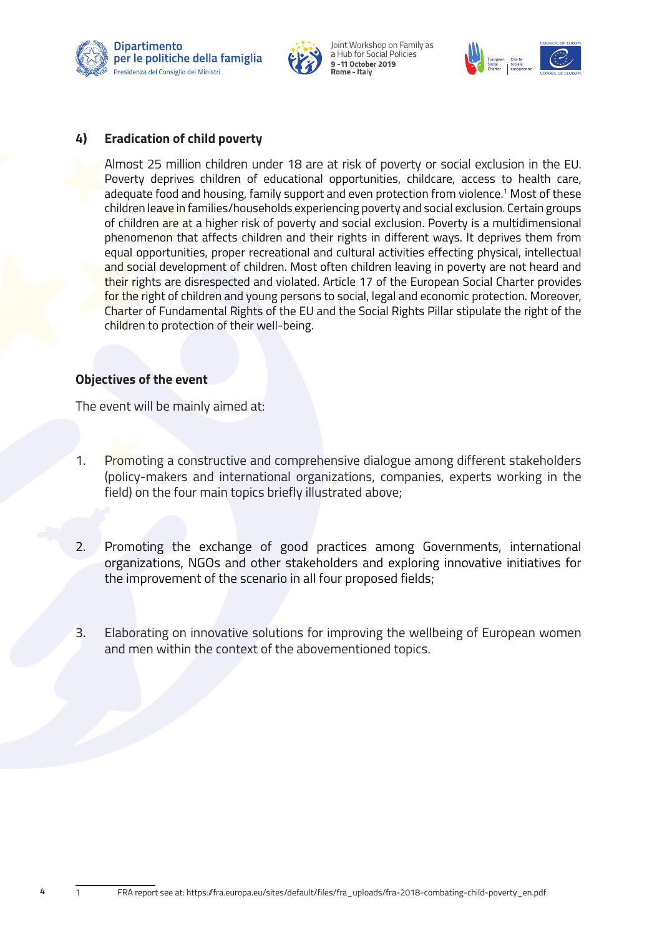



Joint Workshop on Family as<br>a Hub for Social Policies 9-11 October 2019



#### **4) Eradication of child poverty**

 Almost 25 million children under 18 are at risk of poverty or social exclusion in the EU. Poverty deprives children of educational opportunities, childcare, access to health care, adequate food and housing, family support and even protection from violence.<sup>1</sup> Most of these children leave in families/households experiencing poverty and social exclusion. Certain groups of children are at a higher risk of poverty and social exclusion. Poverty is a multidimensional phenomenon that affects children and their rights in different ways. It deprives them from equal opportunities, proper recreational and cultural activities effecting physical, intellectual and social development of children. Most often children leaving in poverty are not heard and their rights are disrespected and violated. Article 17 of the European Social Charter provides for the right of children and young persons to social, legal and economic protection. Moreover, Charter of Fundamental Rights of the EU and the Social Rights Pillar stipulate the right of the children to protection of their well-being.

#### **Objectives of the event**

The event will be mainly aimed at:

- 1. Promoting a constructive and comprehensive dialogue among different stakeholders (policy-makers and international organizations, companies, experts working in the field) on the four main topics briefly illustrated above;
- 2. Promoting the exchange of good practices among Governments, international organizations, NGOs and other stakeholders and exploring innovative initiatives for the improvement of the scenario in all four proposed fields;
- 3. Elaborating on innovative solutions for improving the wellbeing of European women and men within the context of the abovementioned topics.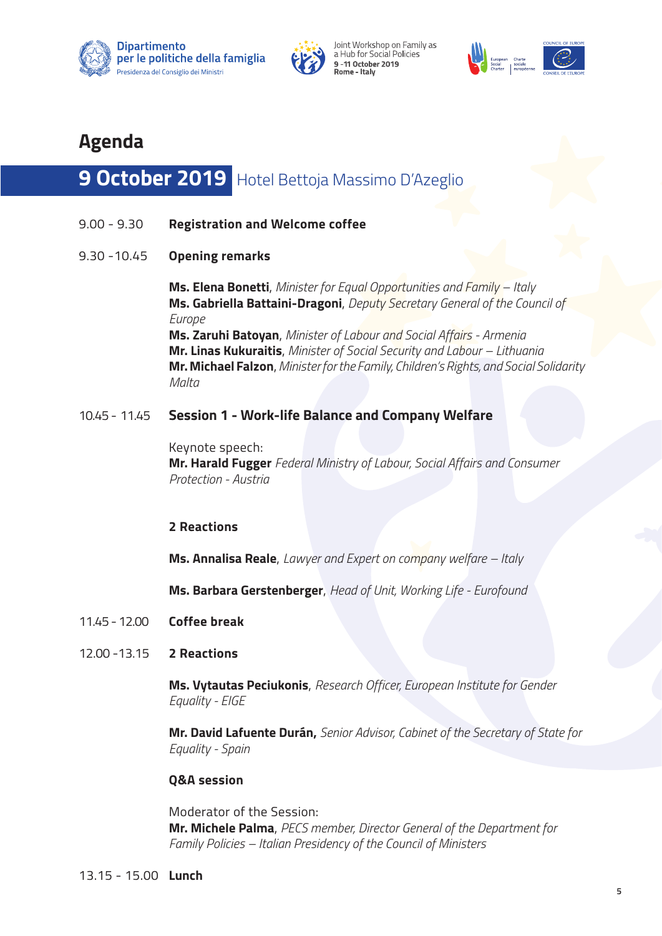







# **Agenda**

# **9 October 2019** Hotel Bettoja Massimo D'Azeglio

- 9.00 9.30 **Registration and Welcome coffee**
- 9.30 -10.45 **Opening remarks**

 **Ms. Elena Bonetti**, *Minister for Equal Opportunities and Family – Italy*  **Ms. Gabriella Battaini-Dragoni**, *Deputy Secretary General of the Council of Europe* **Ms. Zaruhi Batoyan**, *Minister of Labour and Social Affairs - Armenia*  **Mr. Linas Kukuraitis**, *Minister of Social Security and Labour – Lithuania*  **Mr. Michael Falzon**, *Minister for the Family, Children's Rights, and Social Solidarity Malta* 

## 10.45 - 11.45 **Session 1 - Work-life Balance and Company Welfare**

 Keynote speech: **Mr. Harald Fugger** *Federal Ministry of Labour, Social Affairs and Consumer Protection - Austria* 

#### **2 Reactions**

**Ms. Annalisa Reale**, *Lawyer and Expert on company welfare – Italy*

**Ms. Barbara Gerstenberger**, *Head of Unit, Working Life - Eurofound*

- 11.45 12.00 **Coffee break**
- 12.00 -13.15 **2 Reactions**

 **Ms. Vytautas Peciukonis**, *Research Officer, European Institute for Gender Equality - EIGE*

 **Mr. David Lafuente Durán,** *Senior Advisor, Cabinet of the Secretary of State for Equality - Spain*

#### **Q&A session**

 Moderator of the Session: **Mr. Michele Palma**, *PECS member, Director General of the Department for Family Policies – Italian Presidency of the Council of Ministers*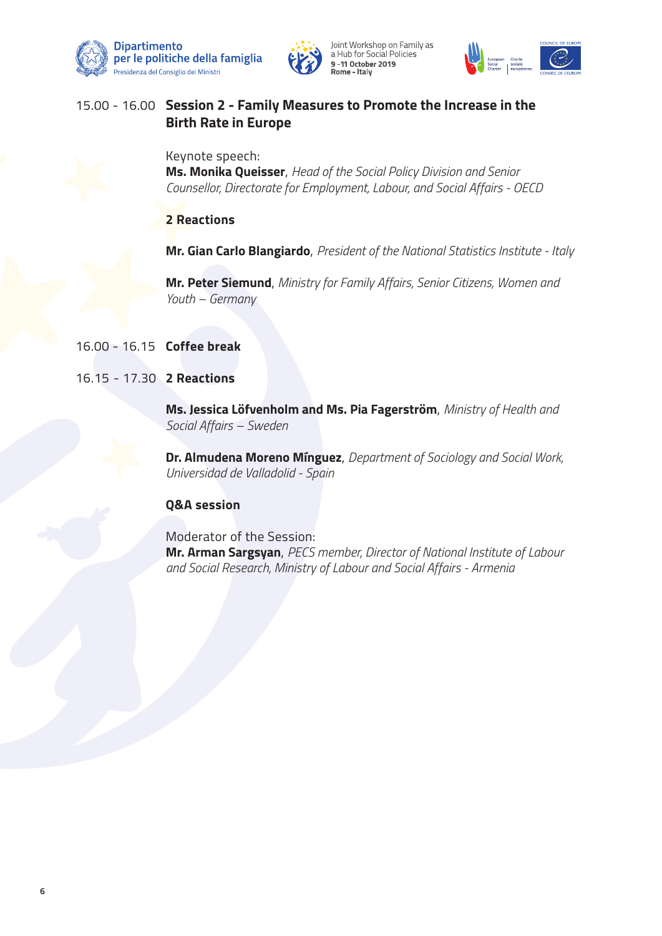







# 15.00 - 16.00 **Session 2 - Family Measures to Promote the Increase in the Birth Rate in Europe**

 Keynote speech: **Ms. Monika Queisser**, *Head of the Social Policy Division and Senior Counsellor, Directorate for Employment, Labour, and Social Affairs - OECD*

#### **2 Reactions**

**Mr. Gian Carlo Blangiardo**, *President of the National Statistics Institute - Italy* 

 **Mr. Peter Siemund**, *Ministry for Family Affairs, Senior Citizens, Women and Youth – Germany* 

#### 16.00 - 16.15 **Coffee break**

#### 16.15 - 17.30 **2 Reactions**

 **Ms. Jessica Löfvenholm and Ms. Pia Fagerström**, *Ministry of Health and Social Affairs – Sweden*

 **Dr. Almudena Moreno Mínguez**, *Department of Sociology and Social Work, Universidad de Valladolid - Spain*

#### **Q&A session**

 Moderator of the Session: **Mr. Arman Sargsyan**, *PECS member, Director of National Institute of Labour and Social Research, Ministry of Labour and Social Affairs - Armenia*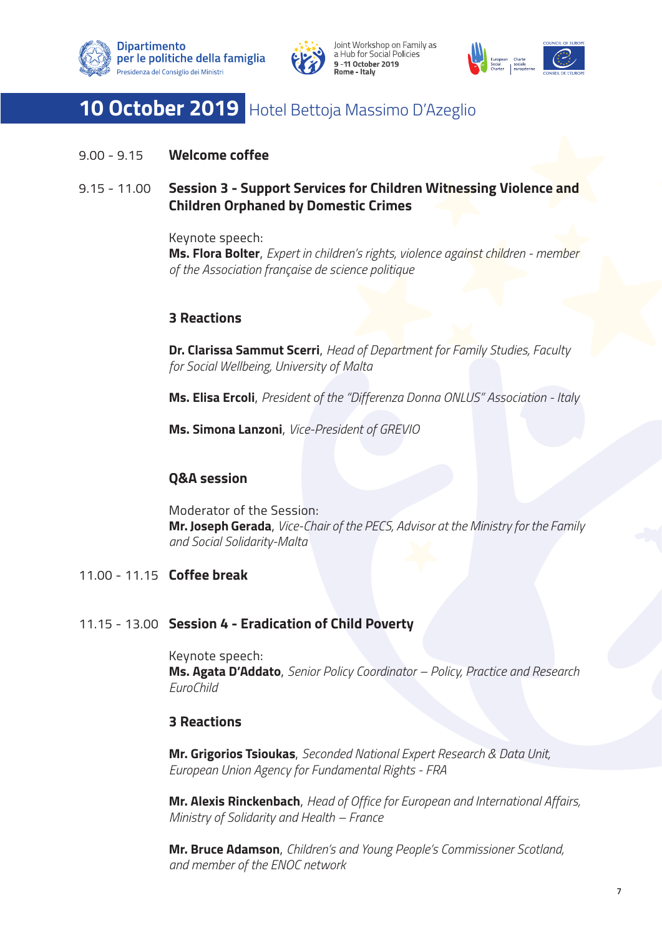





# **10 October 2019** Hotel Bettoja Massimo D'Azeglio

9.00 - 9.15 **Welcome coffee**

# 9.15 - 11.00 **Session 3 - Support Services for Children Witnessing Violence and Children Orphaned by Domestic Crimes**

 Keynote speech: **Ms. Flora Bolter**, *Expert in children's rights, violence against children - member of the Association française de science politique*

# **3 Reactions**

 **Dr. Clarissa Sammut Scerri**, *Head of Department for Family Studies, Faculty for Social Wellbeing, University of Malta*

**Ms. Elisa Ercoli**, *President of the "Differenza Donna ONLUS" Association - Italy*

**Ms. Simona Lanzoni**, *Vice-President of GREVIO* 

## **Q&A session**

 Moderator of the Session: **Mr. Joseph Gerada**, *Vice-Chair of the PECS, Advisor at the Ministry for the Family and Social Solidarity-Malta*

# 11.00 - 11.15 **Coffee break**

## 11.15 - 13.00 **Session 4 - Eradication of Child Poverty**

 Keynote speech: **Ms. Agata D'Addato**, *Senior Policy Coordinator – Policy, Practice and Research EuroChild* 

## **3 Reactions**

 **Mr. Grigorios Tsioukas**, *Seconded National Expert Research & Data Unit, European Union Agency for Fundamental Rights - FRA*

 **Mr. Alexis Rinckenbach**, *Head of Office for European and International Affairs, Ministry of Solidarity and Health – France*

 **Mr. Bruce Adamson**, *Children's and Young People's Commissioner Scotland, and member of the ENOC network*